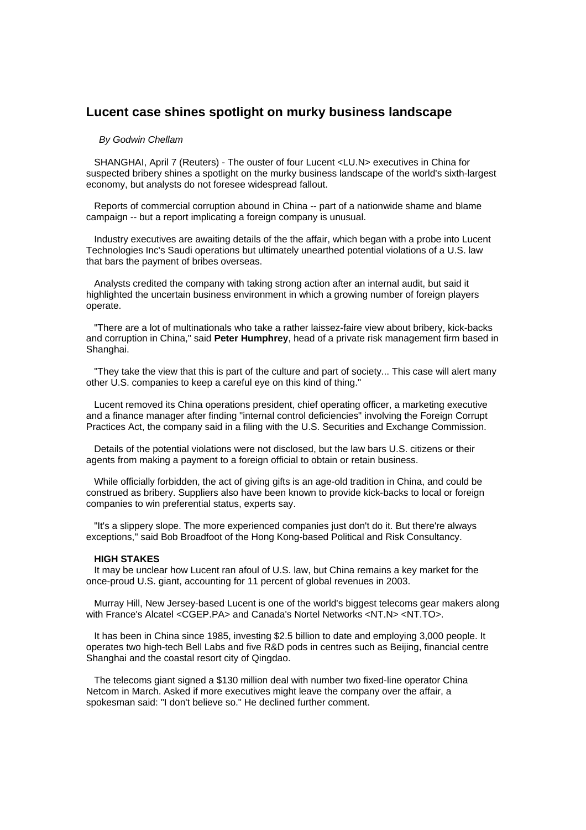## **Lucent case shines spotlight on murky business landscape**

## *By Godwin Chellam*

 SHANGHAI, April 7 (Reuters) - The ouster of four Lucent <LU.N> executives in China for suspected bribery shines a spotlight on the murky business landscape of the world's sixth-largest economy, but analysts do not foresee widespread fallout.

 Reports of commercial corruption abound in China -- part of a nationwide shame and blame campaign -- but a report implicating a foreign company is unusual.

 Industry executives are awaiting details of the the affair, which began with a probe into Lucent Technologies Inc's Saudi operations but ultimately unearthed potential violations of a U.S. law that bars the payment of bribes overseas.

 Analysts credited the company with taking strong action after an internal audit, but said it highlighted the uncertain business environment in which a growing number of foreign players operate.

 "There are a lot of multinationals who take a rather laissez-faire view about bribery, kick-backs and corruption in China," said **Peter Humphrey**, head of a private risk management firm based in Shanghai.

 "They take the view that this is part of the culture and part of society... This case will alert many other U.S. companies to keep a careful eye on this kind of thing."

 Lucent removed its China operations president, chief operating officer, a marketing executive and a finance manager after finding "internal control deficiencies" involving the Foreign Corrupt Practices Act, the company said in a filing with the U.S. Securities and Exchange Commission.

 Details of the potential violations were not disclosed, but the law bars U.S. citizens or their agents from making a payment to a foreign official to obtain or retain business.

 While officially forbidden, the act of giving gifts is an age-old tradition in China, and could be construed as bribery. Suppliers also have been known to provide kick-backs to local or foreign companies to win preferential status, experts say.

 "It's a slippery slope. The more experienced companies just don't do it. But there're always exceptions," said Bob Broadfoot of the Hong Kong-based Political and Risk Consultancy.

## **HIGH STAKES**

 It may be unclear how Lucent ran afoul of U.S. law, but China remains a key market for the once-proud U.S. giant, accounting for 11 percent of global revenues in 2003.

 Murray Hill, New Jersey-based Lucent is one of the world's biggest telecoms gear makers along with France's Alcatel <CGEP.PA> and Canada's Nortel Networks <NT.N> <NT.TO>.

 It has been in China since 1985, investing \$2.5 billion to date and employing 3,000 people. It operates two high-tech Bell Labs and five R&D pods in centres such as Beijing, financial centre Shanghai and the coastal resort city of Qingdao.

 The telecoms giant signed a \$130 million deal with number two fixed-line operator China Netcom in March. Asked if more executives might leave the company over the affair, a spokesman said: "I don't believe so." He declined further comment.